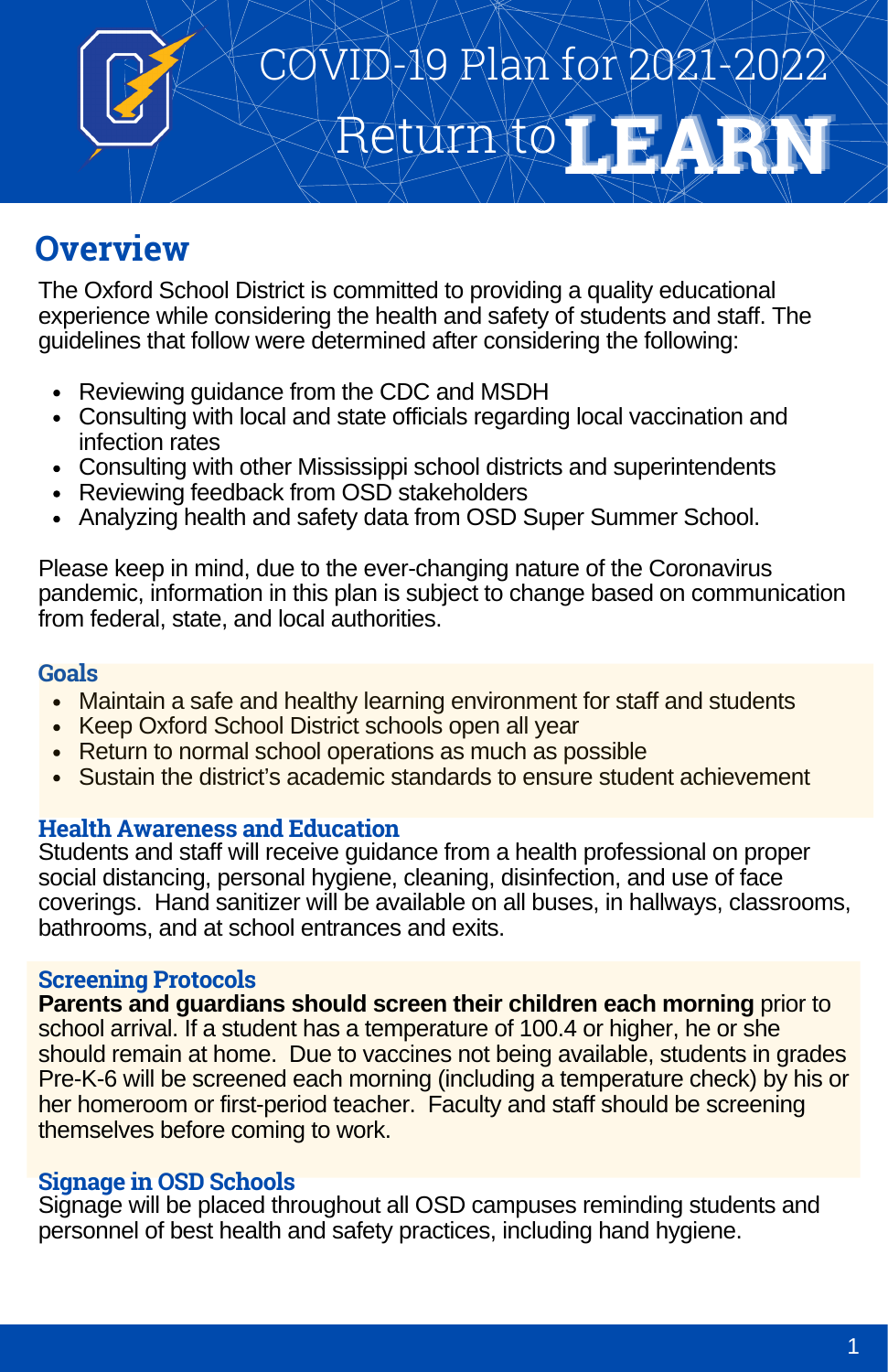

# Return to **LEARN** COVID-19 Plan for 2021-2022

# **Overview**

The Oxford School District is committed to providing a quality educational experience while considering the health and safety of students and staff. The guidelines that follow were determined after considering the following:

- Reviewing quidance from the CDC and MSDH
- Consulting with local and state officials regarding local vaccination and infection rates
- Consulting with other Mississippi school districts and superintendents
- Reviewing feedback from OSD stakeholders
- Analyzing health and safety data from OSD Super Summer School.

Please keep in mind, due to the ever-changing nature of the Coronavirus pandemic, information in this plan is subject to change based on communication from federal, state, and local authorities.

#### **Goals**

- Maintain a safe and healthy learning environment for staff and students
- Keep Oxford School District schools open all year
- Return to normal school operations as much as possible
- Sustain the district's academic standards to ensure student achievement

#### **Health Awareness and Education**

Students and staff will receive guidance from a health professional on proper social distancing, personal hygiene, cleaning, disinfection, and use of face coverings. Hand sanitizer will be available on all buses, in hallways, classrooms, bathrooms, and at school entrances and exits.

#### **Screening Protocols**

**Parents and guardians should screen their children each morning** prior to school arrival. If a student has a temperature of 100.4 or higher, he or she should remain at home. Due to vaccines not being available, students in grades Pre-K-6 will be screened each morning (including a temperature check) by his or her homeroom or first-period teacher. Faculty and staff should be screening themselves before coming to work.

#### **Signage in OSD Schools**

Signage will be placed throughout all OSD campuses reminding students and personnel of best health and safety practices, including hand hygiene.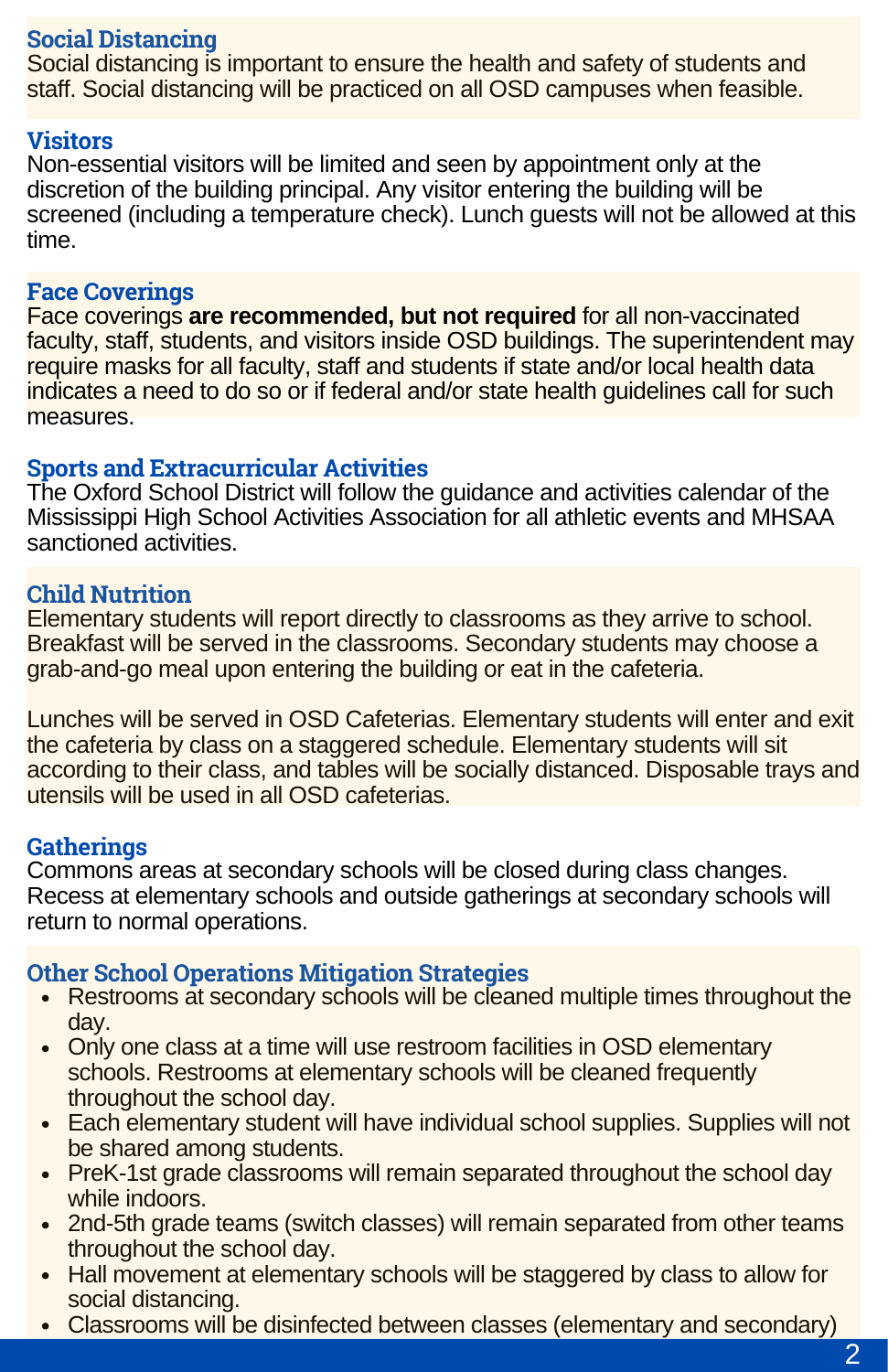#### **Social Distancing**

Social distancing is important to ensure the health and safety of students and staff. Social distancing will be practiced on all OSD campuses when feasible.

#### **Visitors**

Non-essential visitors will be limited and seen by appointment only at the discretion of the building principal. Any visitor entering the building will be screened (including a temperature check). Lunch guests will not be allowed at this time.

#### **Face Coverings**

Face coverings **are recommended, but not required** for all non-vaccinated faculty, staff, students, and visitors inside OSD buildings. The superintendent may require masks for all faculty, staff and students if state and/or local health data indicates a need to do so or if federal and/or state health guidelines call for such measures.

#### **Sports and Extracurricular Activities**

The Oxford School District will follow the guidance and activities calendar of the Mississippi High School Activities Association for all athletic events and MHSAA sanctioned activities.

#### **Child Nutrition**

Elementary students will report directly to classrooms as they arrive to school. Breakfast will be served in the classrooms. Secondary students may choose a grab-and-go meal upon entering the building or eat in the cafeteria.

Lunches will be served in OSD Cafeterias. Elementary students will enter and exit the cafeteria by class on a staggered schedule. Elementary students will sit according to their class, and tables will be socially distanced. Disposable trays and utensils will be used in all OSD cafeterias.

#### **Gatherings**

Commons areas at secondary schools will be closed during class changes. Recess at elementary schools and outside gatherings at secondary schools will return to normal operations.

#### **Other School Operations Mitigation Strategies**

- Restrooms at secondary schools will be cleaned multiple times throughout the day.
- Only one class at a time will use restroom facilities in OSD elementary schools. Restrooms at elementary schools will be cleaned frequently throughout the school day.
- Each elementary student will have individual school supplies. Supplies will not be shared among students.
- PreK-1st grade classrooms will remain separated throughout the school day while indoors.
- 2nd-5th grade teams (switch classes) will remain separated from other teams throughout the school day.
- Hall movement at elementary schools will be staggered by class to allow for social distancing.
- Classrooms will be disinfected between classes (elementary and secondary)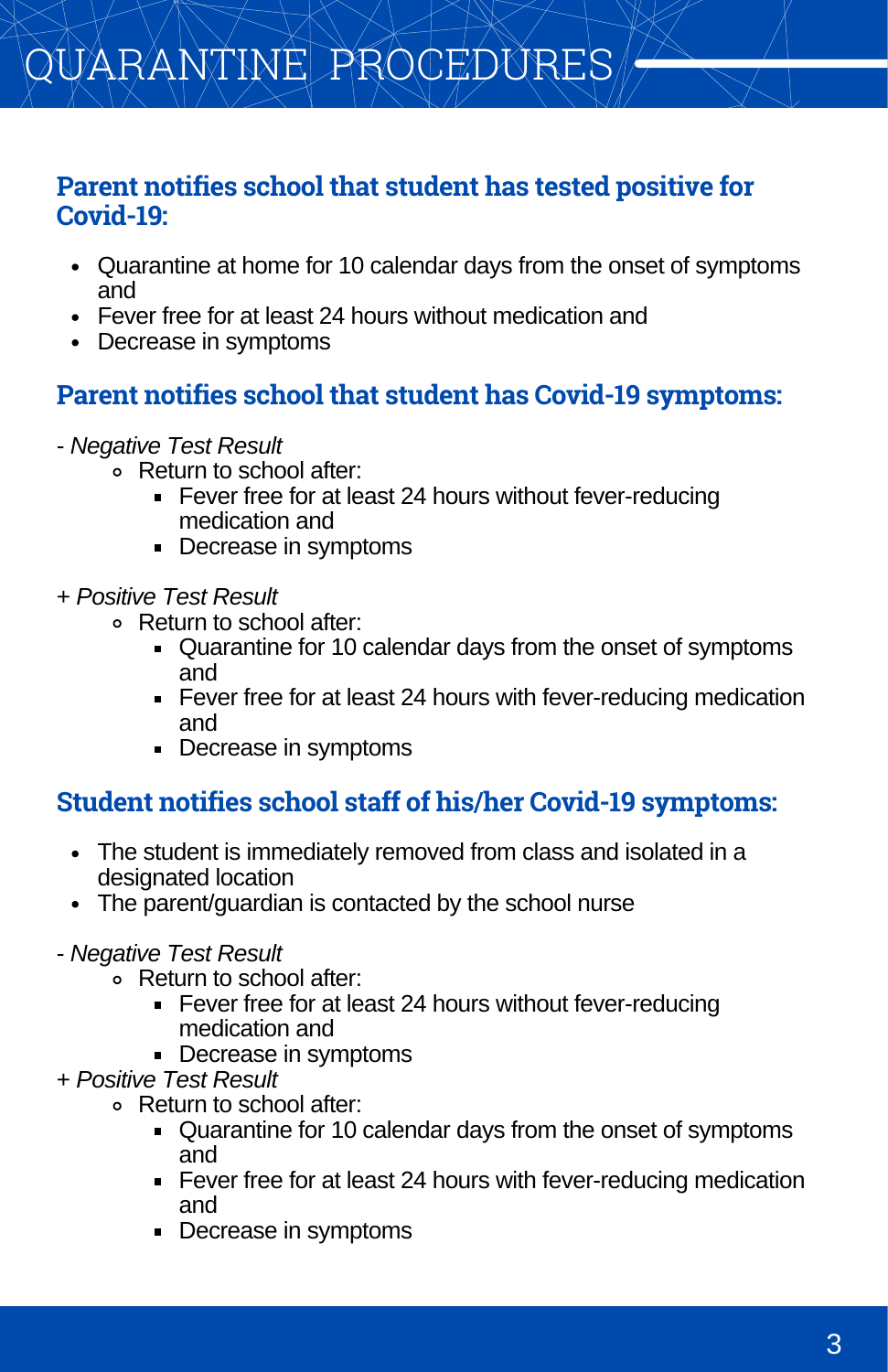# QUARANTINE PROCEDURES

#### **Parent notifies school that student has tested positive for Covid-19:**

- Quarantine at home for 10 calendar days from the onset of symptoms and
- Fever free for at least 24 hours without medication and
- Decrease in symptoms

## **Parent notifies school that student has Covid-19 symptoms:**

- *Negative Test Result*
	- Return to school after:
		- **Fever free for at least 24 hours without fever-reducing** medication and
		- Decrease in symptoms
- + *Positive Test Result*
	- Return to school after:
		- Quarantine for 10 calendar days from the onset of symptoms and
		- **Fever free for at least 24 hours with fever-reducing medication** and
		- Decrease in symptoms

### **Student notifies school staff of his/her Covid-19 symptoms:**

- The student is immediately removed from class and isolated in a designated location
- The parent/guardian is contacted by the school nurse
- *Negative Test Result*
	- Return to school after:
		- Fever free for at least 24 hours without fever-reducing medication and
		- Decrease in symptoms
- + *Positive Test Result*
	- Return to school after:
		- Quarantine for 10 calendar days from the onset of symptoms and
		- **Fever free for at least 24 hours with fever-reducing medication** and
		- Decrease in symptoms